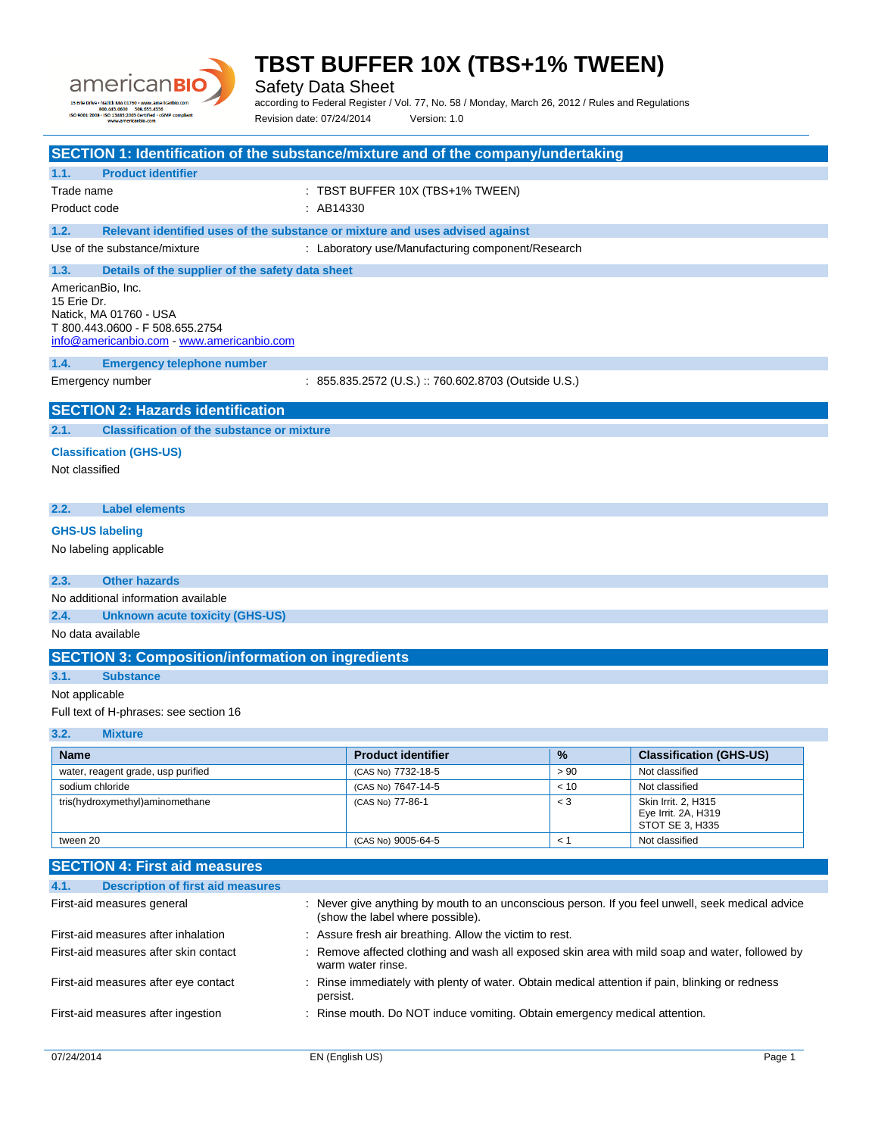

Safety Data Sheet

according to Federal Register / Vol. 77, No. 58 / Monday, March 26, 2012 / Rules and Regulations Revision date: 07/24/2014 Version: 1.0

|                                        |                                                                                                                                             | SECTION 1: Identification of the substance/mixture and of the company/undertaking              |       |                                                               |  |
|----------------------------------------|---------------------------------------------------------------------------------------------------------------------------------------------|------------------------------------------------------------------------------------------------|-------|---------------------------------------------------------------|--|
| 1.1.                                   | <b>Product identifier</b>                                                                                                                   |                                                                                                |       |                                                               |  |
| Trade name                             |                                                                                                                                             | : TBST BUFFER 10X (TBS+1% TWEEN)                                                               |       |                                                               |  |
| Product code                           |                                                                                                                                             | : AB14330                                                                                      |       |                                                               |  |
|                                        |                                                                                                                                             |                                                                                                |       |                                                               |  |
| 1.2.                                   |                                                                                                                                             | Relevant identified uses of the substance or mixture and uses advised against                  |       |                                                               |  |
|                                        | Use of the substance/mixture                                                                                                                | : Laboratory use/Manufacturing component/Research                                              |       |                                                               |  |
| 1.3.                                   | Details of the supplier of the safety data sheet                                                                                            |                                                                                                |       |                                                               |  |
|                                        | AmericanBio, Inc.<br>15 Erie Dr.<br>Natick, MA 01760 - USA<br>T 800.443.0600 - F 508.655.2754<br>info@americanbio.com - www.americanbio.com |                                                                                                |       |                                                               |  |
| 1.4.                                   | <b>Emergency telephone number</b>                                                                                                           |                                                                                                |       |                                                               |  |
|                                        | Emergency number                                                                                                                            | : 855.835.2572 (U.S.) :: 760.602.8703 (Outside U.S.)                                           |       |                                                               |  |
|                                        |                                                                                                                                             |                                                                                                |       |                                                               |  |
|                                        | <b>SECTION 2: Hazards identification</b>                                                                                                    |                                                                                                |       |                                                               |  |
| 2.1.                                   | <b>Classification of the substance or mixture</b>                                                                                           |                                                                                                |       |                                                               |  |
|                                        | <b>Classification (GHS-US)</b>                                                                                                              |                                                                                                |       |                                                               |  |
| Not classified                         |                                                                                                                                             |                                                                                                |       |                                                               |  |
|                                        |                                                                                                                                             |                                                                                                |       |                                                               |  |
| 2.2.                                   | <b>Label elements</b>                                                                                                                       |                                                                                                |       |                                                               |  |
| <b>GHS-US labeling</b>                 |                                                                                                                                             |                                                                                                |       |                                                               |  |
|                                        | No labeling applicable                                                                                                                      |                                                                                                |       |                                                               |  |
|                                        |                                                                                                                                             |                                                                                                |       |                                                               |  |
| 2.3.                                   | <b>Other hazards</b>                                                                                                                        |                                                                                                |       |                                                               |  |
|                                        | No additional information available                                                                                                         |                                                                                                |       |                                                               |  |
| 2.4.                                   | <b>Unknown acute toxicity (GHS-US)</b>                                                                                                      |                                                                                                |       |                                                               |  |
| No data available                      |                                                                                                                                             |                                                                                                |       |                                                               |  |
|                                        | <b>SECTION 3: Composition/information on ingredients</b>                                                                                    |                                                                                                |       |                                                               |  |
|                                        |                                                                                                                                             |                                                                                                |       |                                                               |  |
|                                        | 3.1.<br><b>Substance</b>                                                                                                                    |                                                                                                |       |                                                               |  |
| Not applicable                         |                                                                                                                                             |                                                                                                |       |                                                               |  |
| Full text of H-phrases: see section 16 |                                                                                                                                             |                                                                                                |       |                                                               |  |
| 3.2.                                   | <b>Mixture</b>                                                                                                                              |                                                                                                |       |                                                               |  |
| <b>Name</b>                            |                                                                                                                                             | <b>Product identifier</b>                                                                      | %     | <b>Classification (GHS-US)</b>                                |  |
|                                        | water, reagent grade, usp purified                                                                                                          | (CAS No) 7732-18-5                                                                             | > 90  | Not classified                                                |  |
| sodium chloride                        |                                                                                                                                             | (CAS No) 7647-14-5                                                                             | < 10  | Not classified                                                |  |
|                                        | tris(hydroxymethyl)aminomethane                                                                                                             | (CAS No) 77-86-1                                                                               | $<$ 3 | Skin Irrit. 2, H315<br>Eye Irrit. 2A, H319<br>STOT SE 3, H335 |  |
|                                        | tween 20<br>(CAS No) 9005-64-5<br>< 1<br>Not classified                                                                                     |                                                                                                |       |                                                               |  |
|                                        |                                                                                                                                             |                                                                                                |       |                                                               |  |
|                                        | <b>SECTION 4: First aid measures</b>                                                                                                        |                                                                                                |       |                                                               |  |
| 4.1.                                   | <b>Description of first aid measures</b>                                                                                                    |                                                                                                |       |                                                               |  |
|                                        | First-aid measures general                                                                                                                  | Never give anything by mouth to an unconscious person. If you feel unwell, seek medical advice |       |                                                               |  |

| First-aid measures general            | : Never give anything by mouth to an unconscious person. If you feel unwell, seek medical advice<br>(show the label where possible). |
|---------------------------------------|--------------------------------------------------------------------------------------------------------------------------------------|
| First-aid measures after inhalation   | : Assure fresh air breathing. Allow the victim to rest.                                                                              |
| First-aid measures after skin contact | : Remove affected clothing and wash all exposed skin area with mild soap and water, followed by<br>warm water rinse.                 |
| First-aid measures after eye contact  | : Rinse immediately with plenty of water. Obtain medical attention if pain, blinking or redness<br>persist.                          |
| First-aid measures after ingestion    | : Rinse mouth. Do NOT induce vomiting. Obtain emergency medical attention.                                                           |
|                                       |                                                                                                                                      |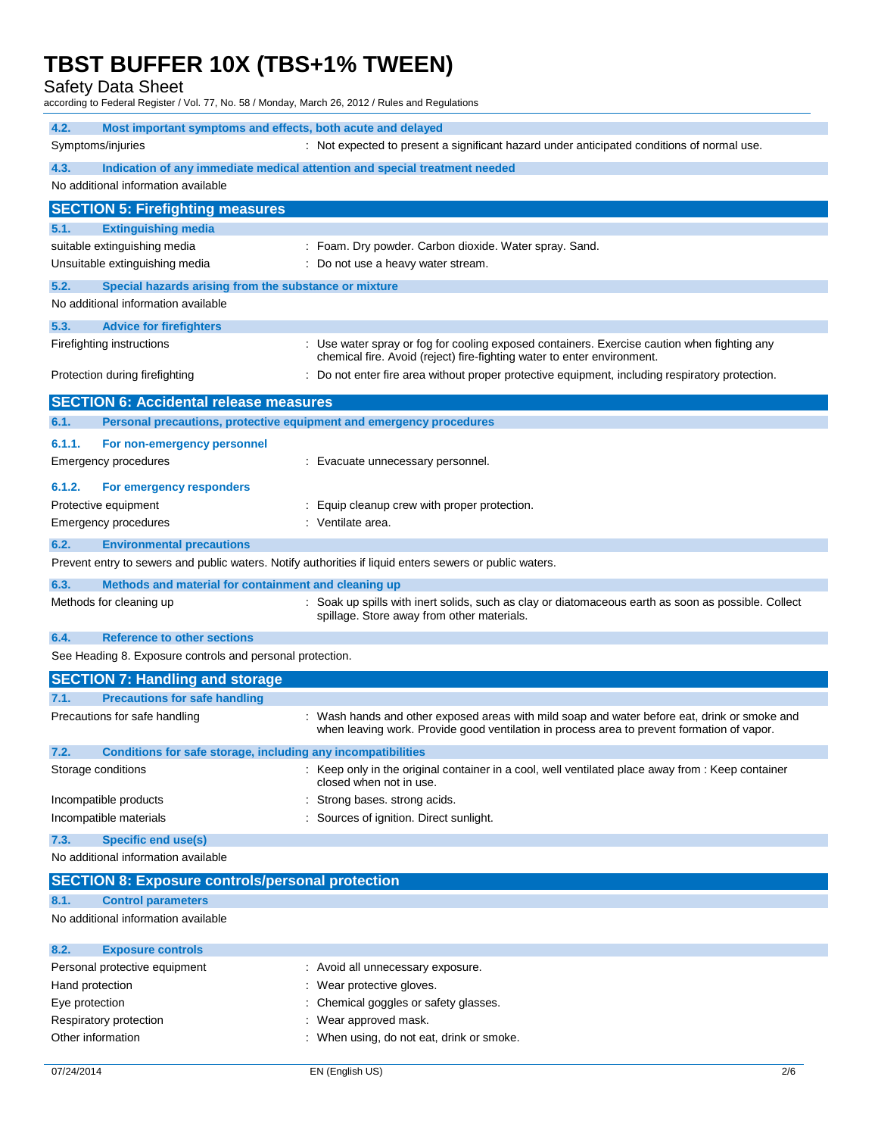Safety Data Sheet

according to Federal Register / Vol. 77, No. 58 / Monday, March 26, 2012 / Rules and Regulations

| 4.2.<br>Most important symptoms and effects, both acute and delayed<br>Symptoms/injuries<br>: Not expected to present a significant hazard under anticipated conditions of normal use. |                                                              |                                                                                                                                                                                            |  |
|----------------------------------------------------------------------------------------------------------------------------------------------------------------------------------------|--------------------------------------------------------------|--------------------------------------------------------------------------------------------------------------------------------------------------------------------------------------------|--|
| 4.3.                                                                                                                                                                                   |                                                              | Indication of any immediate medical attention and special treatment needed                                                                                                                 |  |
| No additional information available                                                                                                                                                    |                                                              |                                                                                                                                                                                            |  |
|                                                                                                                                                                                        | <b>SECTION 5: Firefighting measures</b>                      |                                                                                                                                                                                            |  |
| 5.1.                                                                                                                                                                                   | <b>Extinguishing media</b>                                   |                                                                                                                                                                                            |  |
| suitable extinguishing media                                                                                                                                                           |                                                              | : Foam. Dry powder. Carbon dioxide. Water spray. Sand.                                                                                                                                     |  |
| Unsuitable extinguishing media                                                                                                                                                         |                                                              | : Do not use a heavy water stream.                                                                                                                                                         |  |
| 5.2.                                                                                                                                                                                   | Special hazards arising from the substance or mixture        |                                                                                                                                                                                            |  |
| No additional information available                                                                                                                                                    |                                                              |                                                                                                                                                                                            |  |
| 5.3.                                                                                                                                                                                   | <b>Advice for firefighters</b>                               |                                                                                                                                                                                            |  |
| Firefighting instructions                                                                                                                                                              |                                                              | : Use water spray or fog for cooling exposed containers. Exercise caution when fighting any<br>chemical fire. Avoid (reject) fire-fighting water to enter environment.                     |  |
| Protection during firefighting                                                                                                                                                         |                                                              | : Do not enter fire area without proper protective equipment, including respiratory protection.                                                                                            |  |
|                                                                                                                                                                                        | <b>SECTION 6: Accidental release measures</b>                |                                                                                                                                                                                            |  |
| 6.1.                                                                                                                                                                                   |                                                              | Personal precautions, protective equipment and emergency procedures                                                                                                                        |  |
| 6.1.1.                                                                                                                                                                                 | For non-emergency personnel                                  |                                                                                                                                                                                            |  |
| <b>Emergency procedures</b>                                                                                                                                                            |                                                              | : Evacuate unnecessary personnel.                                                                                                                                                          |  |
| 6.1.2.                                                                                                                                                                                 | For emergency responders                                     |                                                                                                                                                                                            |  |
| Protective equipment                                                                                                                                                                   |                                                              | Equip cleanup crew with proper protection.                                                                                                                                                 |  |
| Emergency procedures                                                                                                                                                                   |                                                              | : Ventilate area.                                                                                                                                                                          |  |
| 6.2.                                                                                                                                                                                   | <b>Environmental precautions</b>                             |                                                                                                                                                                                            |  |
|                                                                                                                                                                                        |                                                              | Prevent entry to sewers and public waters. Notify authorities if liquid enters sewers or public waters.                                                                                    |  |
| 6.3.                                                                                                                                                                                   | Methods and material for containment and cleaning up         |                                                                                                                                                                                            |  |
| Methods for cleaning up                                                                                                                                                                |                                                              | : Soak up spills with inert solids, such as clay or diatomaceous earth as soon as possible. Collect<br>spillage. Store away from other materials.                                          |  |
| 6.4.                                                                                                                                                                                   | <b>Reference to other sections</b>                           |                                                                                                                                                                                            |  |
|                                                                                                                                                                                        | See Heading 8. Exposure controls and personal protection.    |                                                                                                                                                                                            |  |
|                                                                                                                                                                                        | <b>SECTION 7: Handling and storage</b>                       |                                                                                                                                                                                            |  |
| 7.1.                                                                                                                                                                                   | <b>Precautions for safe handling</b>                         |                                                                                                                                                                                            |  |
| Precautions for safe handling                                                                                                                                                          |                                                              | : Wash hands and other exposed areas with mild soap and water before eat, drink or smoke and<br>when leaving work. Provide good ventilation in process area to prevent formation of vapor. |  |
| 7.2.                                                                                                                                                                                   | Conditions for safe storage, including any incompatibilities |                                                                                                                                                                                            |  |
| Storage conditions                                                                                                                                                                     |                                                              | : Keep only in the original container in a cool, well ventilated place away from : Keep container<br>closed when not in use.                                                               |  |
| Incompatible products                                                                                                                                                                  |                                                              | Strong bases, strong acids.                                                                                                                                                                |  |
| Incompatible materials                                                                                                                                                                 |                                                              | Sources of ignition. Direct sunlight.                                                                                                                                                      |  |
| <b>Specific end use(s)</b><br>7.3.                                                                                                                                                     |                                                              |                                                                                                                                                                                            |  |
| No additional information available                                                                                                                                                    |                                                              |                                                                                                                                                                                            |  |
|                                                                                                                                                                                        | <b>SECTION 8: Exposure controls/personal protection</b>      |                                                                                                                                                                                            |  |
| 8.1.                                                                                                                                                                                   | <b>Control parameters</b>                                    |                                                                                                                                                                                            |  |
| No additional information available                                                                                                                                                    |                                                              |                                                                                                                                                                                            |  |
| 8.2.<br><b>Exposure controls</b>                                                                                                                                                       |                                                              |                                                                                                                                                                                            |  |
| Personal protective equipment                                                                                                                                                          |                                                              | : Avoid all unnecessary exposure.                                                                                                                                                          |  |
| Hand protection                                                                                                                                                                        |                                                              | : Wear protective gloves.                                                                                                                                                                  |  |
| Eye protection                                                                                                                                                                         |                                                              | : Chemical goggles or safety glasses.                                                                                                                                                      |  |
| Respiratory protection                                                                                                                                                                 |                                                              | Wear annroved mask                                                                                                                                                                         |  |

Respiratory protection **in the set of the COV** is Wear approved mask. Other information **Calcular Contract Contract Contract Contract Contract Contract Contract Contract Contract Contract Contract Contract Contract Contract Contract Contract Contract Contract Contract Contract Contract Contr**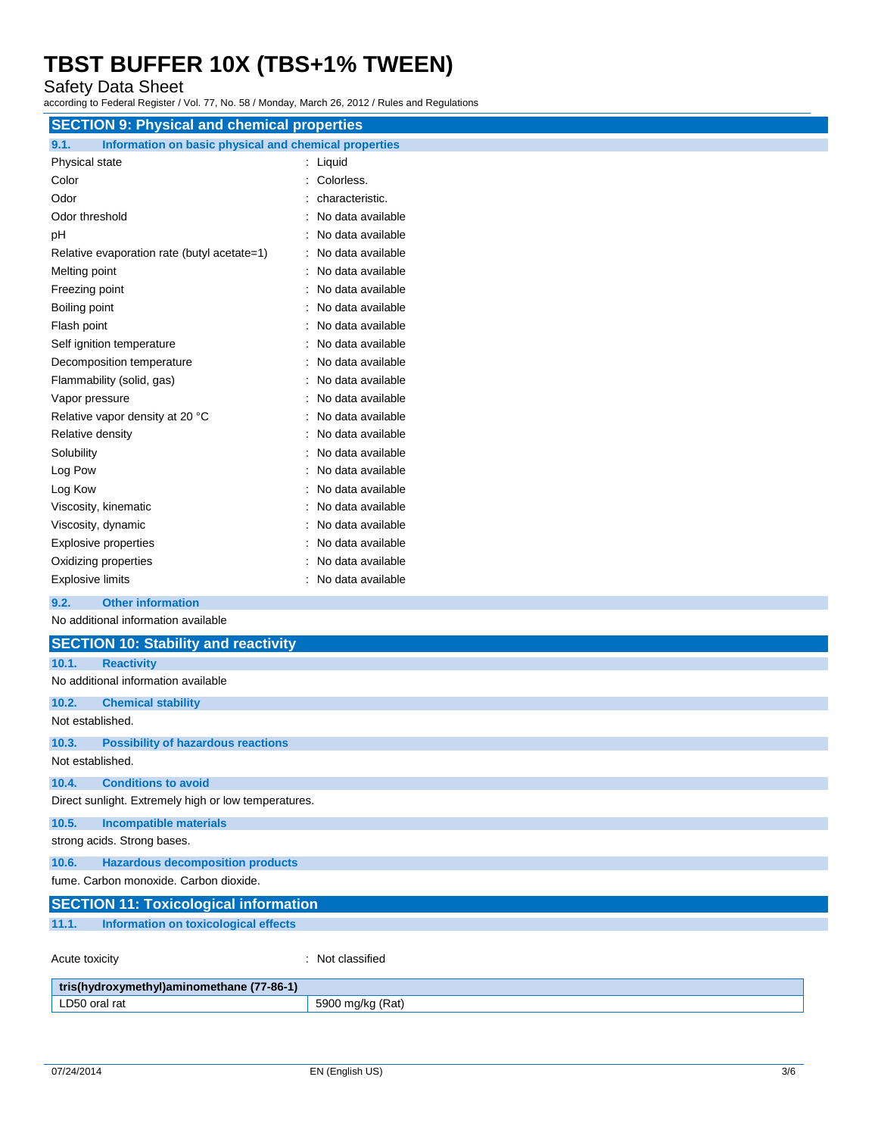## Safety Data Sheet

according to Federal Register / Vol. 77, No. 58 / Monday, March 26, 2012 / Rules and Regulations

| <b>SECTION 9: Physical and chemical properties</b>            |                     |  |  |
|---------------------------------------------------------------|---------------------|--|--|
| Information on basic physical and chemical properties<br>9.1. |                     |  |  |
| Physical state                                                | : Liquid            |  |  |
| Color                                                         | : Colorless.        |  |  |
| Odor                                                          | characteristic.     |  |  |
| Odor threshold                                                | No data available   |  |  |
| pH                                                            | No data available   |  |  |
| Relative evaporation rate (butyl acetate=1)                   | No data available   |  |  |
| Melting point                                                 | : No data available |  |  |
| Freezing point                                                | : No data available |  |  |
| Boiling point                                                 | No data available   |  |  |
| Flash point                                                   | : No data available |  |  |
| Self ignition temperature                                     | : No data available |  |  |
| Decomposition temperature                                     | : No data available |  |  |
| Flammability (solid, gas)                                     | No data available   |  |  |
| Vapor pressure                                                | No data available   |  |  |
| Relative vapor density at 20 °C                               | No data available   |  |  |
| Relative density                                              | No data available   |  |  |
| Solubility                                                    | : No data available |  |  |
| Log Pow                                                       | No data available   |  |  |
| Log Kow                                                       | No data available   |  |  |
| Viscosity, kinematic                                          | No data available   |  |  |
| Viscosity, dynamic                                            | : No data available |  |  |
| <b>Explosive properties</b>                                   | : No data available |  |  |
| Oxidizing properties                                          | No data available   |  |  |
| <b>Explosive limits</b>                                       | : No data available |  |  |
| <b>Other information</b><br>9.2.                              |                     |  |  |
| No additional information available                           |                     |  |  |
| <b>SECTION 10: Stability and reactivity</b>                   |                     |  |  |
| <b>Reactivity</b><br>10.1.                                    |                     |  |  |
| No additional information available                           |                     |  |  |
| 10.2.<br><b>Chemical stability</b>                            |                     |  |  |
| Not established.                                              |                     |  |  |

### **10.3. Possibility of hazardous reactions** Not established.

**10.4. Conditions to avoid**

Direct sunlight. Extremely high or low temperatures.

### **10.5. Incompatible materials** strong acids. Strong bases.

**10.6. Hazardous decomposition products** fume. Carbon monoxide. Carbon dioxide.

**SECTION 11: Toxicological information 11.1. Information on toxicological effects** Acute toxicity in the contract of the classified in the classified in the classified in the classified in the classified in the classified in the classified in the classified in the classified in the classified in the clas

| 7-86-1)<br>tris<br>$\gamma$ roxymethyl)aminomethane (7, |                                   |  |  |
|---------------------------------------------------------|-----------------------------------|--|--|
| LD50<br>oral rat                                        | 'Rat)<br>5900<br>ma/kc<br>$\cdot$ |  |  |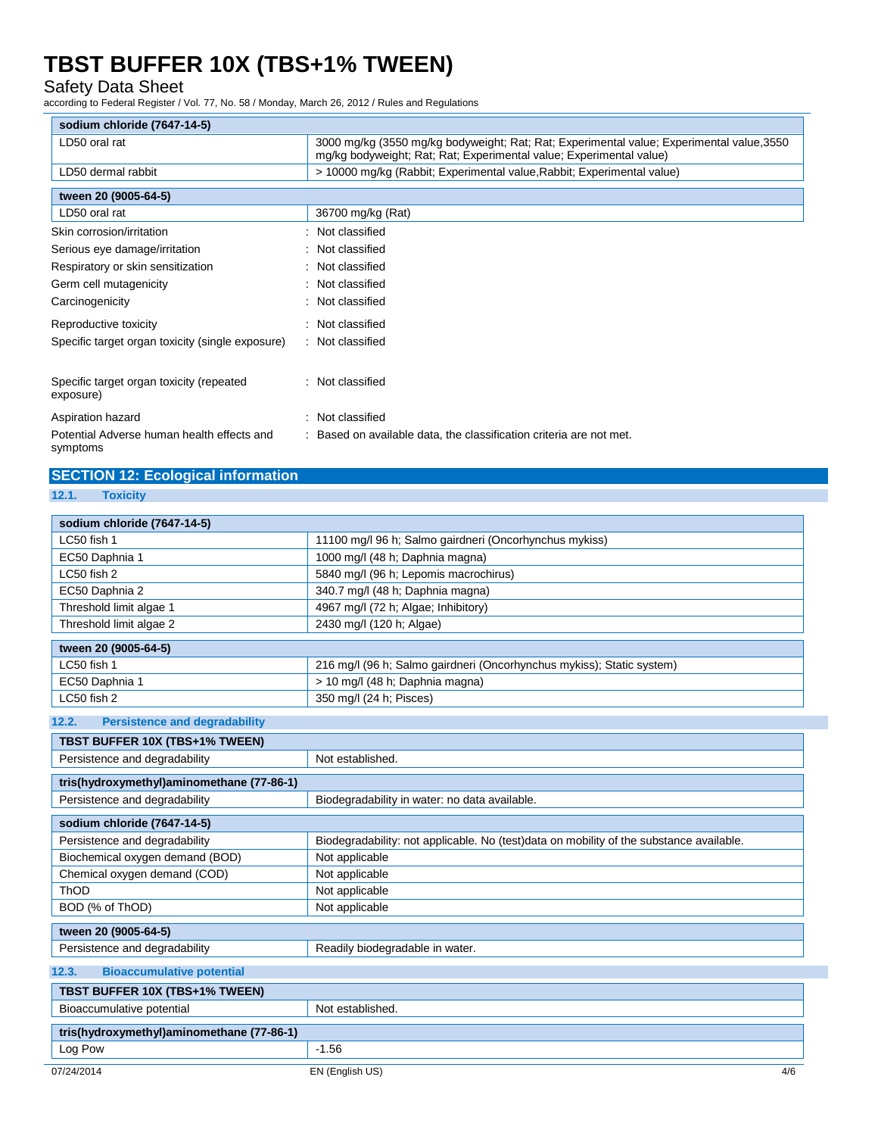## Safety Data Sheet

according to Federal Register / Vol. 77, No. 58 / Monday, March 26, 2012 / Rules and Regulations

| sodium chloride (7647-14-5)                            |                                                                                                                                                                  |  |  |
|--------------------------------------------------------|------------------------------------------------------------------------------------------------------------------------------------------------------------------|--|--|
| LD50 oral rat                                          | 3000 mg/kg (3550 mg/kg bodyweight; Rat; Rat; Experimental value; Experimental value, 3550<br>mg/kg bodyweight; Rat; Rat; Experimental value; Experimental value) |  |  |
| LD50 dermal rabbit                                     | > 10000 mg/kg (Rabbit; Experimental value, Rabbit; Experimental value)                                                                                           |  |  |
| tween 20 (9005-64-5)                                   |                                                                                                                                                                  |  |  |
| LD50 oral rat                                          | 36700 mg/kg (Rat)                                                                                                                                                |  |  |
| Skin corrosion/irritation                              | : Not classified                                                                                                                                                 |  |  |
| Serious eye damage/irritation                          | : Not classified                                                                                                                                                 |  |  |
| Respiratory or skin sensitization                      | : Not classified                                                                                                                                                 |  |  |
| Germ cell mutagenicity                                 | : Not classified                                                                                                                                                 |  |  |
| Carcinogenicity                                        | : Not classified                                                                                                                                                 |  |  |
| Reproductive toxicity                                  | : Not classified                                                                                                                                                 |  |  |
| Specific target organ toxicity (single exposure)       | : Not classified                                                                                                                                                 |  |  |
| Specific target organ toxicity (repeated<br>exposure)  | : Not classified                                                                                                                                                 |  |  |
| Aspiration hazard                                      | : Not classified                                                                                                                                                 |  |  |
| Potential Adverse human health effects and<br>symptoms | : Based on available data, the classification criteria are not met.                                                                                              |  |  |

## **SECTION 12: Ecological information**

| <b>Toxicity</b><br>12.1. |
|--------------------------|
|--------------------------|

| sodium chloride (7647-14-5)                   |                                                                                         |  |  |
|-----------------------------------------------|-----------------------------------------------------------------------------------------|--|--|
| LC50 fish 1                                   | 11100 mg/l 96 h; Salmo gairdneri (Oncorhynchus mykiss)                                  |  |  |
| EC50 Daphnia 1                                | 1000 mg/l (48 h; Daphnia magna)                                                         |  |  |
| LC50 fish 2                                   | 5840 mg/l (96 h; Lepomis macrochirus)                                                   |  |  |
| EC50 Daphnia 2                                | 340.7 mg/l (48 h; Daphnia magna)                                                        |  |  |
| Threshold limit algae 1                       | 4967 mg/l (72 h; Algae; Inhibitory)                                                     |  |  |
| Threshold limit algae 2                       | 2430 mg/l (120 h; Algae)                                                                |  |  |
| tween 20 (9005-64-5)                          |                                                                                         |  |  |
| LC50 fish 1                                   | 216 mg/l (96 h; Salmo gairdneri (Oncorhynchus mykiss); Static system)                   |  |  |
| EC50 Daphnia 1                                | > 10 mg/l (48 h; Daphnia magna)                                                         |  |  |
| LC50 fish 2                                   | 350 mg/l (24 h; Pisces)                                                                 |  |  |
| <b>Persistence and degradability</b><br>12.2. |                                                                                         |  |  |
| TBST BUFFER 10X (TBS+1% TWEEN)                |                                                                                         |  |  |
| Persistence and degradability                 | Not established.                                                                        |  |  |
|                                               |                                                                                         |  |  |
| tris(hydroxymethyl)aminomethane (77-86-1)     |                                                                                         |  |  |
| Persistence and degradability                 | Biodegradability in water: no data available.                                           |  |  |
| sodium chloride (7647-14-5)                   |                                                                                         |  |  |
| Persistence and degradability                 | Biodegradability: not applicable. No (test)data on mobility of the substance available. |  |  |
| Biochemical oxygen demand (BOD)               | Not applicable                                                                          |  |  |
| Chemical oxygen demand (COD)                  | Not applicable                                                                          |  |  |
| ThOD                                          | Not applicable                                                                          |  |  |
| BOD (% of ThOD)                               | Not applicable                                                                          |  |  |
| tween 20 (9005-64-5)                          |                                                                                         |  |  |
| Persistence and degradability                 | Readily biodegradable in water.                                                         |  |  |
| 12.3.<br><b>Bioaccumulative potential</b>     |                                                                                         |  |  |
| TBST BUFFER 10X (TBS+1% TWEEN)                |                                                                                         |  |  |
| Bioaccumulative potential                     | Not established.                                                                        |  |  |
| tris(hydroxymethyl)aminomethane (77-86-1)     |                                                                                         |  |  |
| Log Pow                                       | $-1.56$                                                                                 |  |  |
| 07/24/2014                                    | 4/6<br>EN (English US)                                                                  |  |  |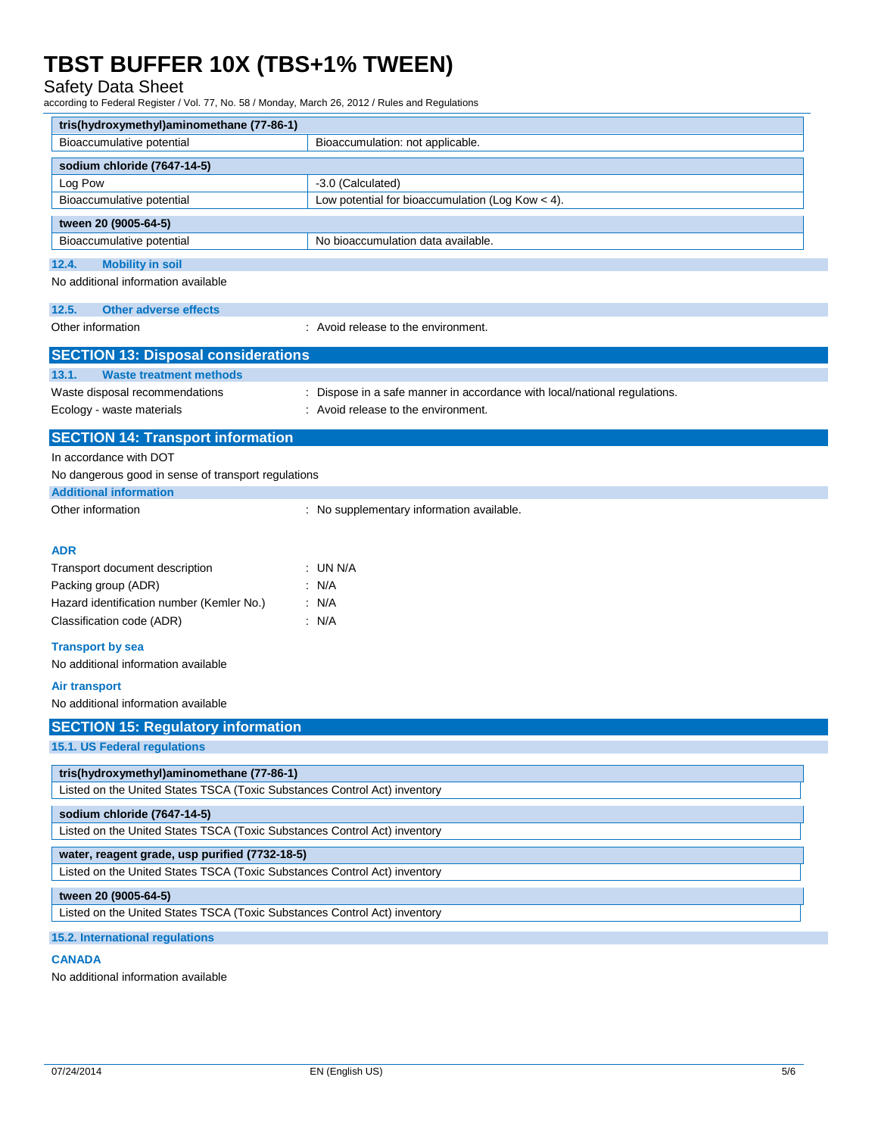## Safety Data Sheet

according to Federal Register / Vol. 77, No. 58 / Monday, March 26, 2012 / Rules and Regulations

| tris(hydroxymethyl)aminomethane (77-86-1)                                                                |                                                                         |  |  |
|----------------------------------------------------------------------------------------------------------|-------------------------------------------------------------------------|--|--|
| Bioaccumulative potential                                                                                | Bioaccumulation: not applicable.                                        |  |  |
| sodium chloride (7647-14-5)                                                                              |                                                                         |  |  |
| Log Pow                                                                                                  | -3.0 (Calculated)                                                       |  |  |
| Bioaccumulative potential                                                                                | Low potential for bioaccumulation (Log Kow $<$ 4).                      |  |  |
| tween 20 (9005-64-5)                                                                                     |                                                                         |  |  |
| Bioaccumulative potential                                                                                | No bioaccumulation data available.                                      |  |  |
| 12.4.<br><b>Mobility in soil</b>                                                                         |                                                                         |  |  |
| No additional information available                                                                      |                                                                         |  |  |
| 12.5.<br><b>Other adverse effects</b>                                                                    |                                                                         |  |  |
| Other information                                                                                        | : Avoid release to the environment.                                     |  |  |
|                                                                                                          |                                                                         |  |  |
| <b>SECTION 13: Disposal considerations</b>                                                               |                                                                         |  |  |
| 13.1.<br><b>Waste treatment methods</b>                                                                  |                                                                         |  |  |
| Waste disposal recommendations                                                                           | Dispose in a safe manner in accordance with local/national regulations. |  |  |
| Ecology - waste materials                                                                                | : Avoid release to the environment.                                     |  |  |
| <b>SECTION 14: Transport information</b>                                                                 |                                                                         |  |  |
| In accordance with DOT                                                                                   |                                                                         |  |  |
| No dangerous good in sense of transport regulations                                                      |                                                                         |  |  |
| <b>Additional information</b>                                                                            |                                                                         |  |  |
| Other information                                                                                        | : No supplementary information available.                               |  |  |
|                                                                                                          |                                                                         |  |  |
| <b>ADR</b>                                                                                               |                                                                         |  |  |
| Transport document description                                                                           | : UN N/A                                                                |  |  |
| Packing group (ADR)                                                                                      | : N/A                                                                   |  |  |
| Hazard identification number (Kemler No.)                                                                | : N/A                                                                   |  |  |
| Classification code (ADR)                                                                                | : N/A                                                                   |  |  |
| <b>Transport by sea</b>                                                                                  |                                                                         |  |  |
| No additional information available                                                                      |                                                                         |  |  |
| Air transport                                                                                            |                                                                         |  |  |
| No additional information available                                                                      |                                                                         |  |  |
| <b>SECTION 15: Regulatory information</b>                                                                |                                                                         |  |  |
| 15.1. US Federal regulations                                                                             |                                                                         |  |  |
| tris(hydroxymethyl)aminomethane (77-86-1)                                                                |                                                                         |  |  |
| Listed on the United States TSCA (Toxic Substances Control Act) inventory                                |                                                                         |  |  |
|                                                                                                          |                                                                         |  |  |
| sodium chloride (7647-14-5)<br>Listed on the United States TSCA (Toxic Substances Control Act) inventory |                                                                         |  |  |
|                                                                                                          |                                                                         |  |  |
| water, reagent grade, usp purified (7732-18-5)                                                           |                                                                         |  |  |
| Listed on the United States TSCA (Toxic Substances Control Act) inventory                                |                                                                         |  |  |
| tween 20 (9005-64-5)                                                                                     |                                                                         |  |  |
| Listed on the United States TSCA (Toxic Substances Control Act) inventory                                |                                                                         |  |  |
| 15.2. International regulations                                                                          |                                                                         |  |  |

### **CANADA**

No additional information available